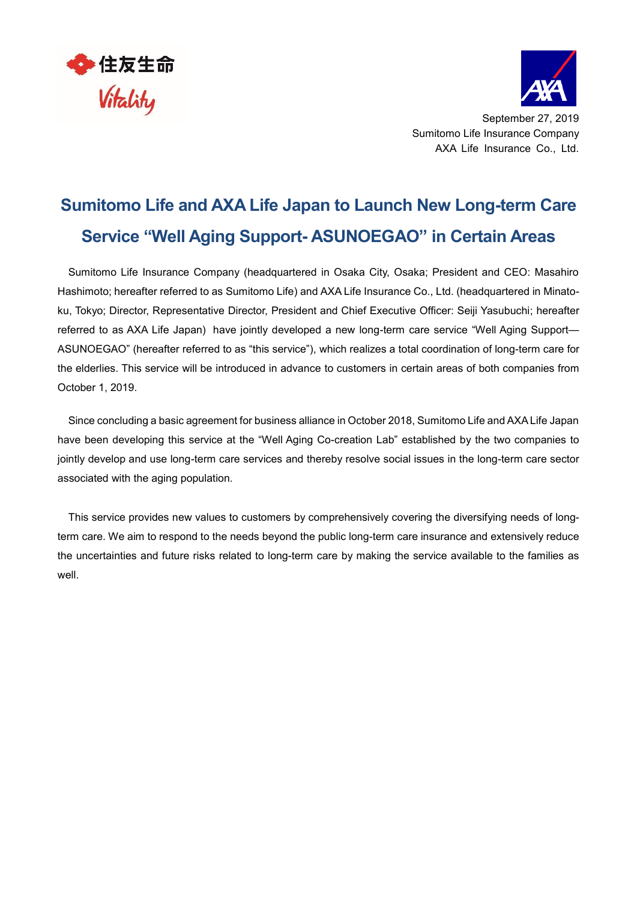



September 27, 2019 Sumitomo Life Insurance Company AXA Life Insurance Co., Ltd.

# **Sumitomo Life and AXA Life Japan to Launch New Long-term Care Service "Well Aging Support- ASUNOEGAO" in Certain Areas**

Sumitomo Life Insurance Company (headquartered in Osaka City, Osaka; President and CEO: Masahiro Hashimoto; hereafter referred to as Sumitomo Life) and AXA Life Insurance Co., Ltd. (headquartered in Minatoku, Tokyo; Director, Representative Director, President and Chief Executive Officer: Seiji Yasubuchi; hereafter referred to as AXA Life Japan) have jointly developed a new long-term care service "Well Aging Support— ASUNOEGAO" (hereafter referred to as "this service"), which realizes a total coordination of long-term care for the elderlies. This service will be introduced in advance to customers in certain areas of both companies from October 1, 2019.

Since concluding a basic agreement for business alliance in October 2018, Sumitomo Life and AXA Life Japan have been developing this service at the "Well Aging Co-creation Lab" established by the two companies to jointly develop and use long-term care services and thereby resolve social issues in the long-term care sector associated with the aging population.

This service provides new values to customers by comprehensively covering the diversifying needs of longterm care. We aim to respond to the needs beyond the public long-term care insurance and extensively reduce the uncertainties and future risks related to long-term care by making the service available to the families as well.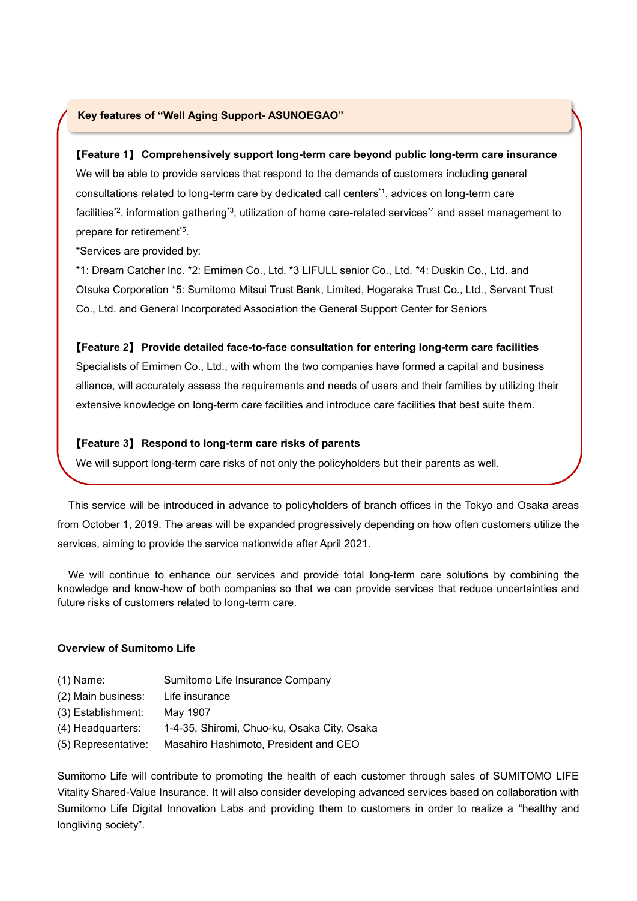## **Key features of "Well Aging Support- ASUNOEGAO"**

### 【**Feature 1**】 **Comprehensively support long-term care beyond public long-term care insurance**

We will be able to provide services that respond to the demands of customers including general consultations related to long-term care by dedicated call centers \*1, advices on long-term care facilities\*<sup>2</sup>, information gathering<sup>\*3</sup>, utilization of home care-related services<sup>\*4</sup> and asset management to prepare for retirement\*5 .

\*Services are provided by:

\*1: Dream Catcher Inc. \*2: Emimen Co., Ltd. \*3 LIFULL senior Co., Ltd. \*4: Duskin Co., Ltd. and Otsuka Corporation \*5: Sumitomo Mitsui Trust Bank, Limited, Hogaraka Trust Co., Ltd., Servant Trust Co., Ltd. and General Incorporated Association the General Support Center for Seniors

#### 【**Feature 2**】 **Provide detailed face-to-face consultation for entering long-term care facilities**

Specialists of Emimen Co., Ltd., with whom the two companies have formed a capital and business alliance, will accurately assess the requirements and needs of users and their families by utilizing their extensive knowledge on long-term care facilities and introduce care facilities that best suite them.

### 【**Feature 3**】 **Respond to long-term care risks of parents**

We will support long-term care risks of not only the policyholders but their parents as well.

This service will be introduced in advance to policyholders of branch offices in the Tokyo and Osaka areas from October 1, 2019. The areas will be expanded progressively depending on how often customers utilize the services, aiming to provide the service nationwide after April 2021.

We will continue to enhance our services and provide total long-term care solutions by combining the knowledge and know-how of both companies so that we can provide services that reduce uncertainties and future risks of customers related to long-term care.

#### **Overview of Sumitomo Life**

| $(1)$ Name: | Sumitomo Life Insurance Company |
|-------------|---------------------------------|
|-------------|---------------------------------|

- (2) Main business: Life insurance
- (3) Establishment: May 1907
- (4) Headquarters: 1-4-35, Shiromi, Chuo-ku, Osaka City, Osaka
- (5) Representative: Masahiro Hashimoto, President and CEO

Sumitomo Life will contribute to promoting the health of each customer through sales of SUMITOMO LIFE Vitality Shared-Value Insurance. It will also consider developing advanced services based on collaboration with Sumitomo Life Digital Innovation Labs and providing them to customers in order to realize a "healthy and longliving society".